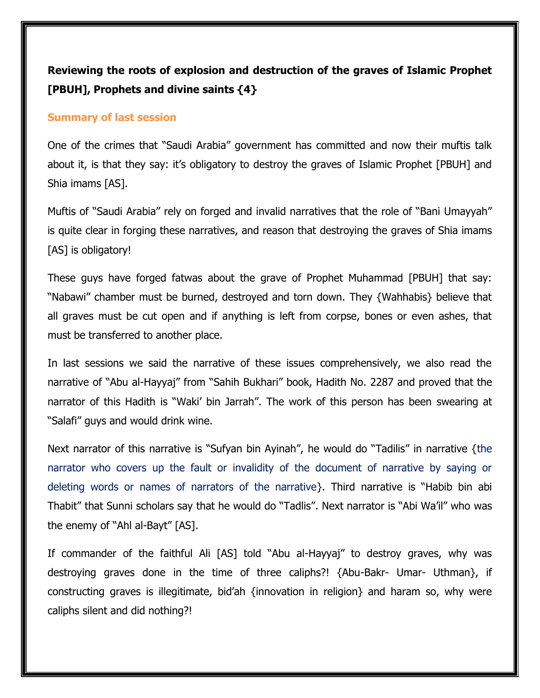## **Reviewing the roots of explosion and destruction of the graves of Islamic Prophet [PBUH], Prophets and divine saints {4}**

#### **Summary of last session**

One of the crimes that "Saudi Arabia" government has committed and now their muftis talk about it, is that they say: it's obligatory to destroy the graves of Islamic Prophet [PBUH] and Shia imams [AS].

Muftis of "Saudi Arabia" rely on forged and invalid narratives that the role of "Bani Umayyah" is quite clear in forging these narratives, and reason that destroying the graves of Shia imams [AS] is obligatory!

These guys have forged fatwas about the grave of Prophet Muhammad [PBUH] that say: "Nabawi" chamber must be burned, destroyed and torn down. They {Wahhabis} believe that all graves must be cut open and if anything is left from corpse, bones or even ashes, that must be transferred to another place.

In last sessions we said the narrative of these issues comprehensively, we also read the narrative of "Abu al-Hayyaj" from "Sahih Bukhari" book, Hadith No. 2287 and proved that the narrator of this Hadith is "Waki' bin Jarrah". The work of this person has been swearing at "Salafi" guys and would drink wine.

Next narrator of this narrative is "Sufyan bin Ayinah", he would do "Tadilis" in narrative {the narrator who covers up the fault or invalidity of the document of narrative by saying or deleting words or names of narrators of the narrative}. Third narrative is "Habib bin abi Thabit" that Sunni scholars say that he would do "Tadlis". Next narrator is "Abi Wa'il" who was the enemy of "Ahl al-Bayt" [AS].

If commander of the faithful Ali [AS] told "Abu al-Hayyaj" to destroy graves, why was destroying graves done in the time of three caliphs?! {Abu-Bakr- Umar- Uthman}, if constructing graves is illegitimate, bid'ah {innovation in religion} and haram so, why were caliphs silent and did nothing?!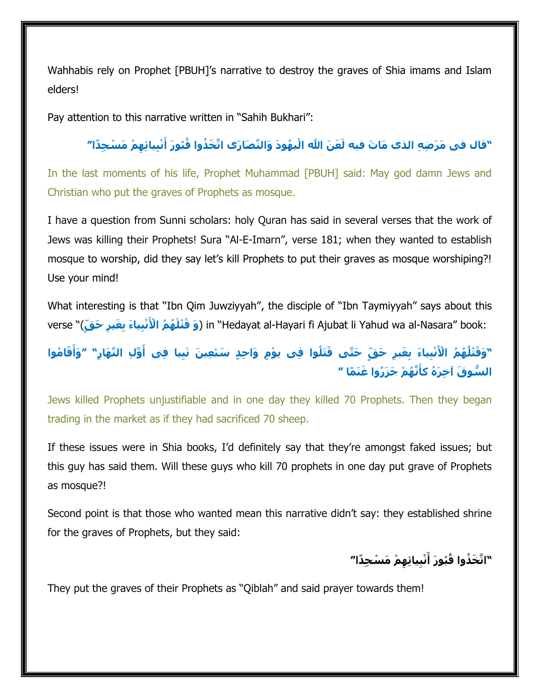Wahhabis rely on Prophet [PBUH]'s narrative to destroy the graves of Shia imams and Islam elders!

Pay attention to this narrative written in "Sahih Bukhari":

# "قال فى مَرَضِهِ الذى مَاتَ فيه لَعَنَ الله الْيهُودَ وَالنَّصَارَى اتَّخَذُوا قُبُورَ أَنْبِيائِهِمْ مَسْجِدًا″

In the last moments of his life, Prophet Muhammad [PBUH] said: May god damn Jews and Christian who put the graves of Prophets as mosque.

I have a question from Sunni scholars: holy Quran has said in several verses that the work of Jews was killing their Prophets! Sura "Al-E-Imarn", verse 181; when they wanted to establish mosque to worship, did they say let's kill Prophets to put their graves as mosque worshiping?! Use your mind!

What interesting is that "Ibn Qim Juwziyyah", the disciple of "Ibn Taymiyyah" says about this **ْنبِیاَء بِ َغی ِر َح ق** )" verse **ُه ُم ا ْْلَ َتلْ قَ وَ** ( in "Hedayat al-Hayari fi Ajubat li Yahud wa al-Nasara" book:

# "وَقَتْلُهُمُ الْأَنْبِياءَ بِغَيرٍ حَق**ٍّ حَتَّى قَتَلُوا فِى يوْمٍ وَاحِدٍ سَ**بْعِينَ نَبِيا فِى أَوَّكِ النَّهَارِ" ″وَأَقَامُوا **نَّ ُه ْم َج َز ُروا َغَن ًما سو َق آ ِخ َر ُه کأ " َ ال ُّ**

Jews killed Prophets unjustifiable and in one day they killed 70 Prophets. Then they began trading in the market as if they had sacrificed 70 sheep.

If these issues were in Shia books, I'd definitely say that they're amongst faked issues; but this guy has said them. Will these guys who kill 70 prophets in one day put grave of Prophets as mosque?!

Second point is that those who wanted mean this narrative didn't say: they established shrine for the graves of Prophets, but they said:

**ِه ْم َم ْسجِ ًدا " ْنبِیائِ َ ُو َر أ اتَّ َخ ُذوا ُقب "**

They put the graves of their Prophets as "Qiblah" and said prayer towards them!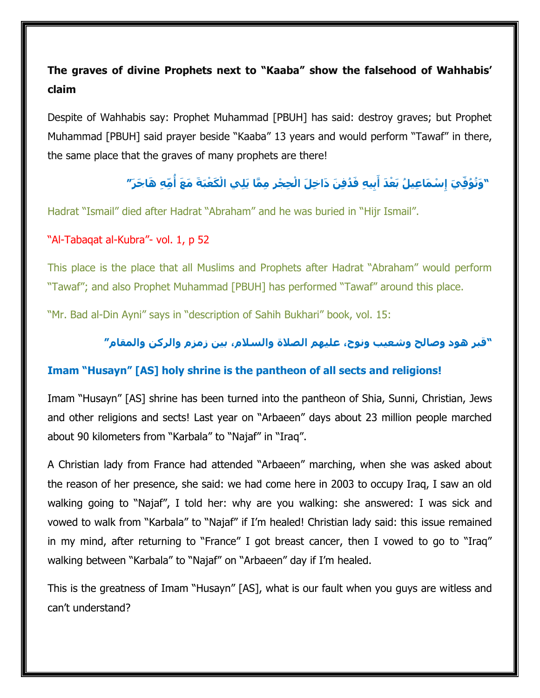## **The graves of divine Prophets next to "Kaaba" show the falsehood of Wahhabis' claim**

Despite of Wahhabis say: Prophet Muhammad [PBUH] has said: destroy graves; but Prophet Muhammad [PBUH] said prayer beside "Kaaba" 13 years and would perform "Tawaf" in there, the same place that the graves of many prophets are there!

"وَتُوُفِّيَ إِسْمَاعِيلُ بَعْدَ أَبِيهِ فَدُفِنَ دَاخِلَ الْحِجْرِ مِمَّا يَلِي الْكَعْبَةَ مَعَ أُمِّهِ هَاجَرَ

Hadrat "Ismail" died after Hadrat "Abraham" and he was buried in "Hijr Ismail".

### "Al-Tabaqat al-Kubra"- vol. 1, p 52

This place is the place that all Muslims and Prophets after Hadrat "Abraham" would perform "Tawaf"; and also Prophet Muhammad [PBUH] has performed "Tawaf" around this place.

"Mr. Bad al-Din Ayni" says in "description of Sahih Bukhari" book, vol. 15:

## **"قبر هود وصالح وشعیب ونوح، علیهم الصالة والسالم، بین زمزم والرکن والمقام"**

## **Imam "Husayn" [AS] holy shrine is the pantheon of all sects and religions!**

Imam "Husayn" [AS] shrine has been turned into the pantheon of Shia, Sunni, Christian, Jews and other religions and sects! Last year on "Arbaeen" days about 23 million people marched about 90 kilometers from "Karbala" to "Najaf" in "Iraq".

A Christian lady from France had attended "Arbaeen" marching, when she was asked about the reason of her presence, she said: we had come here in 2003 to occupy Iraq, I saw an old walking going to "Najaf", I told her: why are you walking: she answered: I was sick and vowed to walk from "Karbala" to "Najaf" if I'm healed! Christian lady said: this issue remained in my mind, after returning to "France" I got breast cancer, then I vowed to go to "Iraq" walking between "Karbala" to "Najaf" on "Arbaeen" day if I'm healed.

This is the greatness of Imam "Husayn" [AS], what is our fault when you guys are witless and can't understand?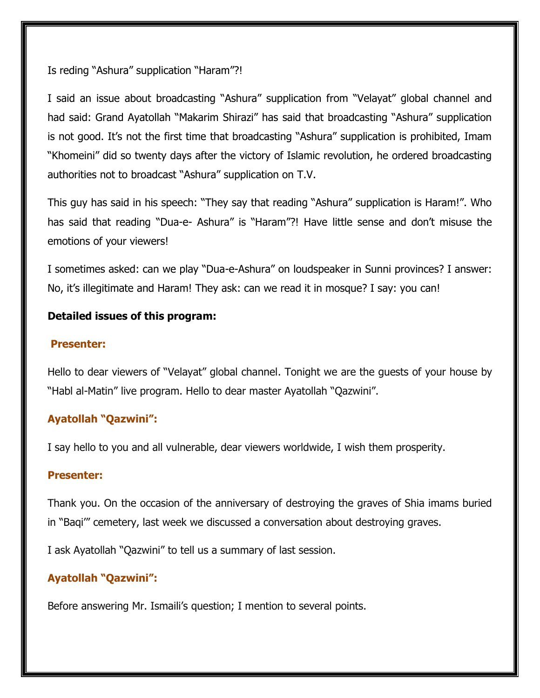Is reding "Ashura" supplication "Haram"?!

I said an issue about broadcasting "Ashura" supplication from "Velayat" global channel and had said: Grand Ayatollah "Makarim Shirazi" has said that broadcasting "Ashura" supplication is not good. It's not the first time that broadcasting "Ashura" supplication is prohibited, Imam "Khomeini" did so twenty days after the victory of Islamic revolution, he ordered broadcasting authorities not to broadcast "Ashura" supplication on T.V.

This guy has said in his speech: "They say that reading "Ashura" supplication is Haram!". Who has said that reading "Dua-e- Ashura" is "Haram"?! Have little sense and don't misuse the emotions of your viewers!

I sometimes asked: can we play "Dua-e-Ashura" on loudspeaker in Sunni provinces? I answer: No, it's illegitimate and Haram! They ask: can we read it in mosque? I say: you can!

## **Detailed issues of this program:**

### **Presenter:**

Hello to dear viewers of "Velayat" global channel. Tonight we are the guests of your house by "Habl al-Matin" live program. Hello to dear master Ayatollah "Qazwini".

## **Ayatollah "Qazwini":**

I say hello to you and all vulnerable, dear viewers worldwide, I wish them prosperity.

### **Presenter:**

Thank you. On the occasion of the anniversary of destroying the graves of Shia imams buried in "Baqi'" cemetery, last week we discussed a conversation about destroying graves.

I ask Ayatollah "Qazwini" to tell us a summary of last session.

## **Ayatollah "Qazwini":**

Before answering Mr. Ismaili's question; I mention to several points.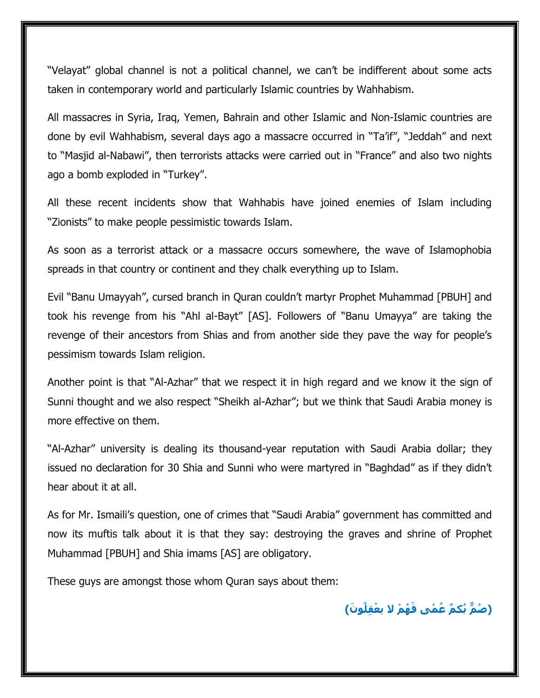"Velayat" global channel is not a political channel, we can't be indifferent about some acts taken in contemporary world and particularly Islamic countries by Wahhabism.

All massacres in Syria, Iraq, Yemen, Bahrain and other Islamic and Non-Islamic countries are done by evil Wahhabism, several days ago a massacre occurred in "Ta'if", "Jeddah" and next to "Masjid al-Nabawi", then terrorists attacks were carried out in "France" and also two nights ago a bomb exploded in "Turkey".

All these recent incidents show that Wahhabis have joined enemies of Islam including "Zionists" to make people pessimistic towards Islam.

As soon as a terrorist attack or a massacre occurs somewhere, the wave of Islamophobia spreads in that country or continent and they chalk everything up to Islam.

Evil "Banu Umayyah", cursed branch in Quran couldn't martyr Prophet Muhammad [PBUH] and took his revenge from his "Ahl al-Bayt" [AS]. Followers of "Banu Umayya" are taking the revenge of their ancestors from Shias and from another side they pave the way for people's pessimism towards Islam religion.

Another point is that "Al-Azhar" that we respect it in high regard and we know it the sign of Sunni thought and we also respect "Sheikh al-Azhar"; but we think that Saudi Arabia money is more effective on them.

"Al-Azhar" university is dealing its thousand-year reputation with Saudi Arabia dollar; they issued no declaration for 30 Shia and Sunni who were martyred in "Baghdad" as if they didn't hear about it at all.

As for Mr. Ismaili's question, one of crimes that "Saudi Arabia" government has committed and now its muftis talk about it is that they say: destroying the graves and shrine of Prophet Muhammad [PBUH] and Shia imams [AS] are obligatory.

These guys are amongst those whom Quran says about them:

(صُمَّ بُكمِّ عُمْی فَهُمْ لا يعْقِلُونَ)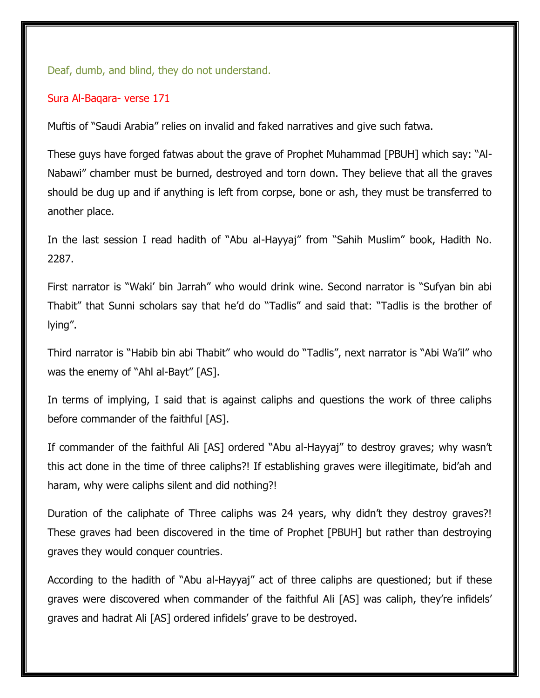Deaf, dumb, and blind, they do not understand.

#### Sura Al-Baqara- verse 171

Muftis of "Saudi Arabia" relies on invalid and faked narratives and give such fatwa.

These guys have forged fatwas about the grave of Prophet Muhammad [PBUH] which say: "Al-Nabawi" chamber must be burned, destroyed and torn down. They believe that all the graves should be dug up and if anything is left from corpse, bone or ash, they must be transferred to another place.

In the last session I read hadith of "Abu al-Hayyaj" from "Sahih Muslim" book, Hadith No. 2287.

First narrator is "Waki' bin Jarrah" who would drink wine. Second narrator is "Sufyan bin abi Thabit" that Sunni scholars say that he'd do "Tadlis" and said that: "Tadlis is the brother of lying".

Third narrator is "Habib bin abi Thabit" who would do "Tadlis", next narrator is "Abi Wa'il" who was the enemy of "Ahl al-Bayt" [AS].

In terms of implying, I said that is against caliphs and questions the work of three caliphs before commander of the faithful [AS].

If commander of the faithful Ali [AS] ordered "Abu al-Hayyaj" to destroy graves; why wasn't this act done in the time of three caliphs?! If establishing graves were illegitimate, bid'ah and haram, why were caliphs silent and did nothing?!

Duration of the caliphate of Three caliphs was 24 years, why didn't they destroy graves?! These graves had been discovered in the time of Prophet [PBUH] but rather than destroying graves they would conquer countries.

According to the hadith of "Abu al-Hayyaj" act of three caliphs are questioned; but if these graves were discovered when commander of the faithful Ali [AS] was caliph, they're infidels' graves and hadrat Ali [AS] ordered infidels' grave to be destroyed.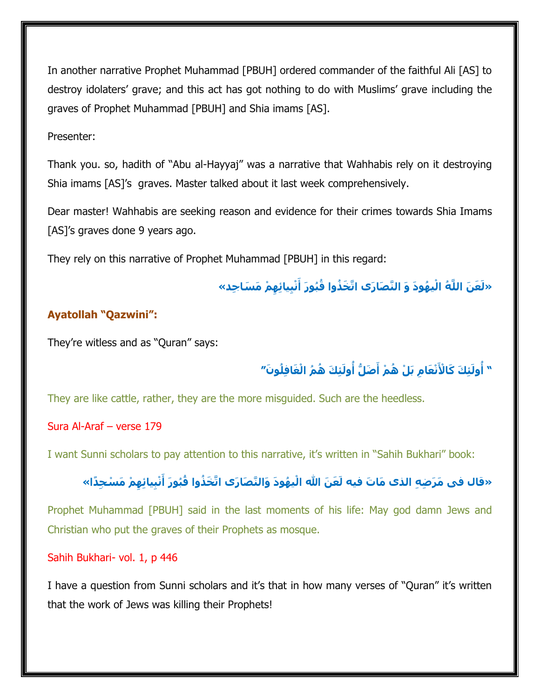In another narrative Prophet Muhammad [PBUH] ordered commander of the faithful Ali [AS] to destroy idolaters' grave; and this act has got nothing to do with Muslims' grave including the graves of Prophet Muhammad [PBUH] and Shia imams [AS].

#### Presenter:

Thank you. so, hadith of "Abu al-Hayyaj" was a narrative that Wahhabis rely on it destroying Shia imams [AS]'s graves. Master talked about it last week comprehensively.

Dear master! Wahhabis are seeking reason and evidence for their crimes towards Shia Imams [AS]'s graves done 9 years ago.

They rely on this narrative of Prophet Muhammad [PBUH] in this regard:

«لَعَنَ اللَّهُ الْيهُودَ وَ النَّصَارَى اتَّخَذُوا قُبُورَ أَنْبِيائِهِمْ مَسَاجِد»

### **Ayatollah "Qazwini":**

They're witless and as "Quran" says:

# " أُولَئِكَ كَالْأَنْعَامِ بَلْ هُمْ أَضَلُّ أُولَئِكَ هُمُ الْغَافِلُونَ″

They are like cattle, rather, they are the more misguided. Such are the heedless.

#### Sura Al-Araf – verse 179

I want Sunni scholars to pay attention to this narrative, it's written in "Sahih Bukhari" book:

# «قال في مَرَضِهِ الذي مَاتَ فيه لَعَنَ الله الْيهُودَ وَالنَّصَارَي اتَّخَذُوا قُبُورَ أَنْبِيائِهِمْ مَسْجِدًا»

Prophet Muhammad [PBUH] said in the last moments of his life: May god damn Jews and Christian who put the graves of their Prophets as mosque.

#### Sahih Bukhari- vol. 1, p 446

I have a question from Sunni scholars and it's that in how many verses of "Quran" it's written that the work of Jews was killing their Prophets!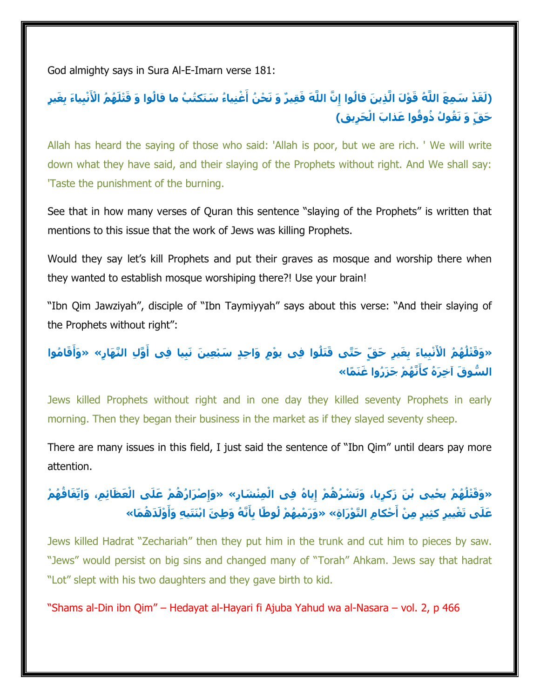God almighty says in Sura Al-E-Imarn verse 181:

# (لَقَدْ سَمِعَ اللَّهُ قَوْلَ الَّذِينَ قالُوا إِنَّ اللَّهَ فَقِيرٌ وَ نَحْنُ أَغْنِياءُ سَنَكتُبُ ما قالُوا وَ قَتْلَهُمُ الْأَنْبِياءَ بِغَيرٍ **و ُقوا َعذا َب اْل َح ق َو نَ ُقو ُل َح ِریق( ُذ**

Allah has heard the saying of those who said: 'Allah is poor, but we are rich. ' We will write down what they have said, and their slaying of the Prophets without right. And We shall say: 'Taste the punishment of the burning.

See that in how many verses of Quran this sentence "slaying of the Prophets" is written that mentions to this issue that the work of Jews was killing Prophets.

Would they say let's kill Prophets and put their graves as mosque and worship there when they wanted to establish mosque worshiping there?! Use your brain!

"Ibn Qim Jawziyah", disciple of "Ibn Taymiyyah" says about this verse: "And their slaying of the Prophets without right":

# «وَقَتْلُهُمُ الْأَنْبِياءَ بِغَيرٍ حَقٍّ حَتَّى قَتَلُوا فِى يوْمٍ وَاحِدٍ سَبْعِينَ نَبِيا فِى أَوَّلِ النَّهَارِ» «وَأَقَامُوا **نَّ ُه ْم َج َز ُروا َغَن ًما سو َق آ ِخ َر ُه کأ « َ ال ُّ**

Jews killed Prophets without right and in one day they killed seventy Prophets in early morning. Then they began their business in the market as if they slayed seventy sheep.

There are many issues in this field, I just said the sentence of "Ibn Qim" until dears pay more attention.

# «وَقَتْلُهُمْ يحْيى بْنَ زَكرِيا، وَنَشْرُهُمْ إِياهُ فِى الْمِنْشَارِ» «وَإِصْرَارُهُمْ عَلَى الْعَظَائِمِ، وَاتِّفَاقُهُمْ عَلَى تَغْييرٍ كثِيرٍ مِنْ أَحْكامِ التَّوْرَاةِ» «وَرَمْيهُمْ لُوطًا بِأَنَّهُ وَطِئَ ابْنَتَيهِ وَأَوْلَدَهُمَا»

Jews killed Hadrat "Zechariah" then they put him in the trunk and cut him to pieces by saw. "Jews" would persist on big sins and changed many of "Torah" Ahkam. Jews say that hadrat "Lot" slept with his two daughters and they gave birth to kid.

"Shams al-Din ibn Qim" – Hedayat al-Hayari fi Ajuba Yahud wa al-Nasara – vol. 2, p 466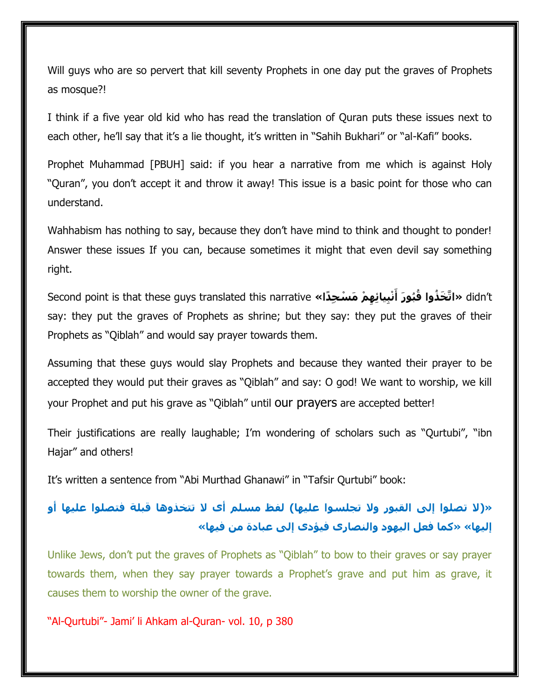Will guys who are so pervert that kill seventy Prophets in one day put the graves of Prophets as mosque?!

I think if a five year old kid who has read the translation of Quran puts these issues next to each other, he'll say that it's a lie thought, it's written in "Sahih Bukhari" or "al-Kafi" books.

Prophet Muhammad [PBUH] said: if you hear a narrative from me which is against Holy "Quran", you don't accept it and throw it away! This issue is a basic point for those who can understand.

Wahhabism has nothing to say, because they don't have mind to think and thought to ponder! Answer these issues If you can, because sometimes it might that even devil say something right.

lidn'tفاتَّخَذُوا قُبُورَ أَنْبِيائِهِمْ مَسْجِدًا» Second point is that these guys translated this narrative say: they put the graves of Prophets as shrine; but they say: they put the graves of their Prophets as "Qiblah" and would say prayer towards them.

Assuming that these guys would slay Prophets and because they wanted their prayer to be accepted they would put their graves as "Qiblah" and say: O god! We want to worship, we kill your Prophet and put his grave as "Qiblah" until our prayers are accepted better!

Their justifications are really laughable; I'm wondering of scholars such as "Qurtubi", "ibn Hajar" and others!

It's written a sentence from "Abi Murthad Ghanawi" in "Tafsir Qurtubi" book:

# **»)ال تصلوا إلی القبور وال تجلسوا علیها( لفظ مسلم أی ال تتخذوها قبلة فتصلوا علیها أو إلیها« »کما فعل الیهود والنصاری فیؤدی إلی عبادة من فیها«**

Unlike Jews, don't put the graves of Prophets as "Qiblah" to bow to their graves or say prayer towards them, when they say prayer towards a Prophet's grave and put him as grave, it causes them to worship the owner of the grave.

"Al-Qurtubi"- Jami' li Ahkam al-Quran- vol. 10, p 380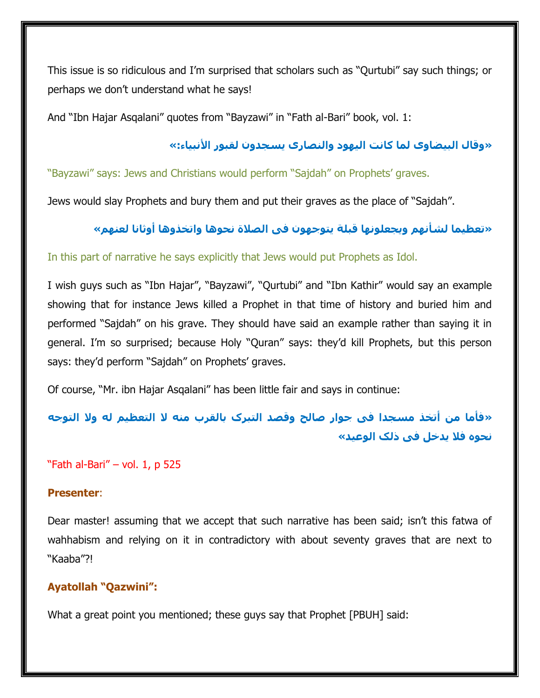This issue is so ridiculous and I'm surprised that scholars such as "Qurtubi" say such things; or perhaps we don't understand what he says!

And "Ibn Hajar Asqalani" quotes from "Bayzawi" in "Fath al-Bari" book, vol. 1:

### **»وقال البیضاوی لما کانت الیهود والنصاری یسجدون لقبور اْلنبیاء:«**

"Bayzawi" says: Jews and Christians would perform "Sajdah" on Prophets' graves.

Jews would slay Prophets and bury them and put their graves as the place of "Sajdah".

**»تعظیما لشأنهم ویجعلونها قبلة یتوجهون فی الصالة نحوها واتخذوها أوثانا لعنهم«**

In this part of narrative he says explicitly that Jews would put Prophets as Idol.

I wish guys such as "Ibn Hajar", "Bayzawi", "Qurtubi" and "Ibn Kathir" would say an example showing that for instance Jews killed a Prophet in that time of history and buried him and performed "Sajdah" on his grave. They should have said an example rather than saying it in general. I'm so surprised; because Holy "Quran" says: they'd kill Prophets, but this person says: they'd perform "Sajdah" on Prophets' graves.

Of course, "Mr. ibn Hajar Asqalani" has been little fair and says in continue:

**»فأما من أتخذ مسجدا فی جوار صالح وقصد التبرک بالقرب منه ال التعظیم له وال التوجه نحوه فال یدخل فی ذلک الوعید«**

"Fath al-Bari" – vol. 1, p 525

### **Presenter**:

Dear master! assuming that we accept that such narrative has been said; isn't this fatwa of wahhabism and relying on it in contradictory with about seventy graves that are next to "Kaaba"?!

## **Ayatollah "Qazwini":**

What a great point you mentioned; these guys say that Prophet [PBUH] said: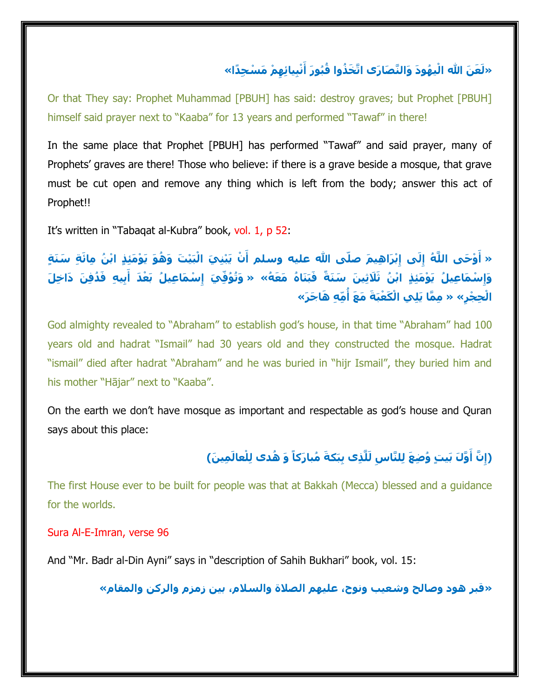# «لَعَنَ الله الْيهُودَ وَالنَّصَارَى اتَّخَذُوا قُبُورَ أَنْبِيائِهِمْ مَسْجِدًا»

Or that They say: Prophet Muhammad [PBUH] has said: destroy graves; but Prophet [PBUH] himself said prayer next to "Kaaba" for 13 years and performed "Tawaf" in there!

In the same place that Prophet [PBUH] has performed "Tawaf" and said prayer, many of Prophets' graves are there! Those who believe: if there is a grave beside a mosque, that grave must be cut open and remove any thing which is left from the body; answer this act of Prophet!!

It's written in "Tabaqat al-Kubra" book, vol. 1, p 52:

« أَوْحَى اللَّهُ إِلَى إِبْرَاهِيمَ صلّى الله عليه وسلم أَنْ يَبْنِيَ الْبَيْتَ وَهُوَ يَوْمَئِذٍ ابْنُ مِائَةِ سَنَةٍ وَإِسْمَاعِيلُ يَوْمَئِذٍ ابْنُ ثَلَاثِينَ سَنَةً فَبَنَاهُ مَعَهُ» «وَتُوُفِّيَ إِسْمَاعِيلُ بَعْدَ أَبِيهِ فَدُفِنَ دَاخِلَ **اْل ِح ْج ِر« » ِ م ِه َها َج َر ِم َّما يَلِي اْل َك ْعبَ « َة َم َع أُ**

God almighty revealed to "Abraham" to establish god's house, in that time "Abraham" had 100 years old and hadrat "Ismail" had 30 years old and they constructed the mosque. Hadrat "ismail" died after hadrat "Abraham" and he was buried in "hijr Ismail", they buried him and his mother "Hājar" next to "Kaaba".

On the earth we don't have mosque as important and respectable as god's house and Quran says about this place:

## (إِنَّ أَوَّلَ بَيتٍ وُضِعَ لِلنَّاسِ لَلَّذِى بِبَكةَ مُبارَكاً وَ هُدى لِلْعالَمِينَ)

The first House ever to be built for people was that at Bakkah (Mecca) blessed and a guidance for the worlds.

Sura Al-E-Imran, verse 96

And "Mr. Badr al-Din Ayni" says in "description of Sahih Bukhari" book, vol. 15:

**»قبر هود وصالح وشعیب ونوح، علیهم الصالة والسالم، بین زمزم والرکن والمقام«**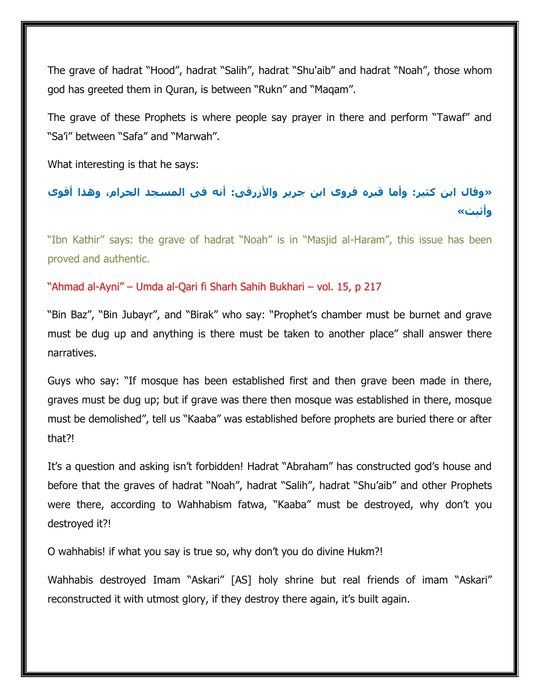The grave of hadrat "Hood", hadrat "Salih", hadrat "Shu'aib" and hadrat "Noah", those whom god has greeted them in Quran, is between "Rukn" and "Maqam".

The grave of these Prophets is where people say prayer in there and perform "Tawaf" and "Sa'i" between "Safa" and "Marwah".

What interesting is that he says:

# **»وقال ابن کثیر: وأما قبره فروی ابن جریر واْلزرقی: أنه فی المسجد الحرام، وهذا أقوی وأثبت«**

"Ibn Kathir" says: the grave of hadrat "Noah" is in "Masjid al-Haram", this issue has been proved and authentic.

#### "Ahmad al-Ayni" – Umda al-Qari fi Sharh Sahih Bukhari – vol. 15, p 217

"Bin Baz", "Bin Jubayr", and "Birak" who say: "Prophet's chamber must be burnet and grave must be dug up and anything is there must be taken to another place" shall answer there narratives.

Guys who say: "If mosque has been established first and then grave been made in there, graves must be dug up; but if grave was there then mosque was established in there, mosque must be demolished", tell us "Kaaba" was established before prophets are buried there or after that?!

It's a question and asking isn't forbidden! Hadrat "Abraham" has constructed god's house and before that the graves of hadrat "Noah", hadrat "Salih", hadrat "Shu'aib" and other Prophets were there, according to Wahhabism fatwa, "Kaaba" must be destroyed, why don't you destroyed it?!

O wahhabis! if what you say is true so, why don't you do divine Hukm?!

Wahhabis destroyed Imam "Askari" [AS] holy shrine but real friends of imam "Askari" reconstructed it with utmost glory, if they destroy there again, it's built again.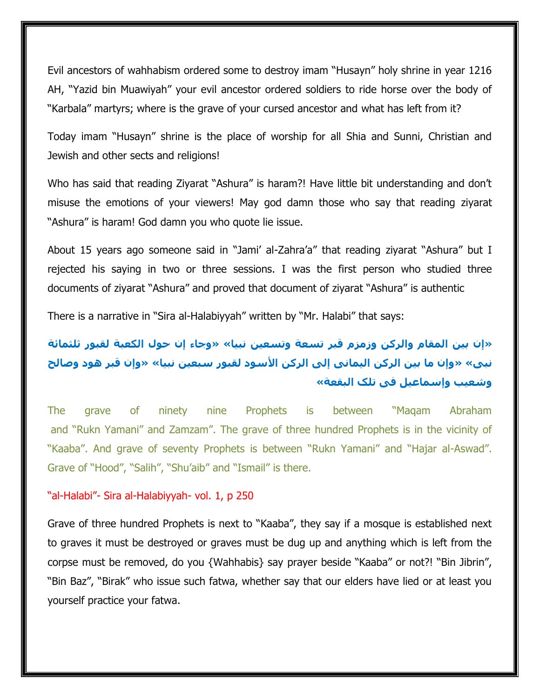Evil ancestors of wahhabism ordered some to destroy imam "Husayn" holy shrine in year 1216 AH, "Yazid bin Muawiyah" your evil ancestor ordered soldiers to ride horse over the body of "Karbala" martyrs; where is the grave of your cursed ancestor and what has left from it?

Today imam "Husayn" shrine is the place of worship for all Shia and Sunni, Christian and Jewish and other sects and religions!

Who has said that reading Ziyarat "Ashura" is haram?! Have little bit understanding and don't misuse the emotions of your viewers! May god damn those who say that reading ziyarat "Ashura" is haram! God damn you who quote lie issue.

About 15 years ago someone said in "Jami' al-Zahra'a" that reading ziyarat "Ashura" but I rejected his saying in two or three sessions. I was the first person who studied three documents of ziyarat "Ashura" and proved that document of ziyarat "Ashura" is authentic

There is a narrative in "Sira al-Halabiyyah" written by "Mr. Halabi" that says:

**»إن بین المقام والرکن وزمزم قبر تسعة وتسعین نبیا« »وجاء إن حول الکعبة لقبور ثلثمائة نبی« »وإن ما بین الرکن الیمانی إلی الرکن اْلسود لقبور سبعین نبیا« »وإن قبر هود وصالح وشعیب وإسماعیل فی تلک البقعة«**

The grave of ninety nine Prophets is between "Maqam Abraham and "Rukn Yamani" and Zamzam". The grave of three hundred Prophets is in the vicinity of "Kaaba". And grave of seventy Prophets is between "Rukn Yamani" and "Hajar al-Aswad". Grave of "Hood", "Salih", "Shu'aib" and "Ismail" is there.

### "al-Halabi"- Sira al-Halabiyyah- vol. 1, p 250

Grave of three hundred Prophets is next to "Kaaba", they say if a mosque is established next to graves it must be destroyed or graves must be dug up and anything which is left from the corpse must be removed, do you {Wahhabis} say prayer beside "Kaaba" or not?! "Bin Jibrin", "Bin Baz", "Birak" who issue such fatwa, whether say that our elders have lied or at least you yourself practice your fatwa.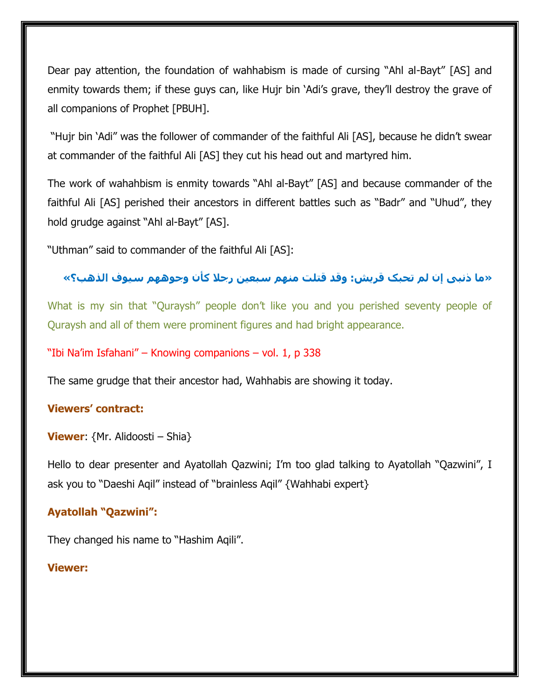Dear pay attention, the foundation of wahhabism is made of cursing "Ahl al-Bayt" [AS] and enmity towards them; if these guys can, like Hujr bin 'Adi's grave, they'll destroy the grave of all companions of Prophet [PBUH].

"Hujr bin 'Adi" was the follower of commander of the faithful Ali [AS], because he didn't swear at commander of the faithful Ali [AS] they cut his head out and martyred him.

The work of wahahbism is enmity towards "Ahl al-Bayt" [AS] and because commander of the faithful Ali [AS] perished their ancestors in different battles such as "Badr" and "Uhud", they hold grudge against "Ahl al-Bayt" [AS].

"Uthman" said to commander of the faithful Ali [AS]:

## **»ما ذنبی إن لم تحبک قریش: وقد قتلت منهم سبعین رجال کأن وجوههم سیوف الذهب؟«**

What is my sin that "Quraysh" people don't like you and you perished seventy people of Quraysh and all of them were prominent figures and had bright appearance.

## "Ibi Na'im Isfahani" – Knowing companions – vol. 1, p 338

The same grudge that their ancestor had, Wahhabis are showing it today.

#### **Viewers' contract:**

**Viewer**: {Mr. Alidoosti – Shia}

Hello to dear presenter and Ayatollah Qazwini; I'm too glad talking to Ayatollah "Qazwini", I ask you to "Daeshi Aqil" instead of "brainless Aqil" {Wahhabi expert}

#### **Ayatollah "Qazwini":**

They changed his name to "Hashim Aqili".

#### **Viewer:**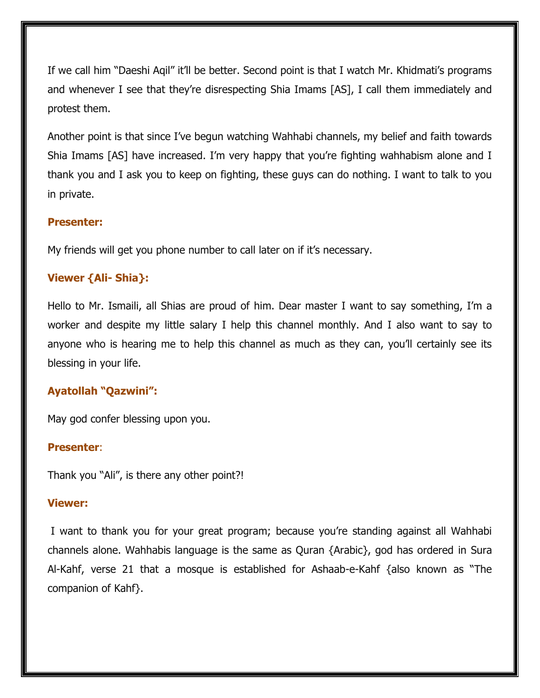If we call him "Daeshi Aqil" it'll be better. Second point is that I watch Mr. Khidmati's programs and whenever I see that they're disrespecting Shia Imams [AS], I call them immediately and protest them.

Another point is that since I've begun watching Wahhabi channels, my belief and faith towards Shia Imams [AS] have increased. I'm very happy that you're fighting wahhabism alone and I thank you and I ask you to keep on fighting, these guys can do nothing. I want to talk to you in private.

#### **Presenter:**

My friends will get you phone number to call later on if it's necessary.

### **Viewer {Ali- Shia}:**

Hello to Mr. Ismaili, all Shias are proud of him. Dear master I want to say something, I'm a worker and despite my little salary I help this channel monthly. And I also want to say to anyone who is hearing me to help this channel as much as they can, you'll certainly see its blessing in your life.

### **Ayatollah "Qazwini":**

May god confer blessing upon you.

#### **Presenter**:

Thank you "Ali", is there any other point?!

#### **Viewer:**

I want to thank you for your great program; because you're standing against all Wahhabi channels alone. Wahhabis language is the same as Quran {Arabic}, god has ordered in Sura Al-Kahf, verse 21 that a mosque is established for Ashaab-e-Kahf {also known as "The companion of Kahf}.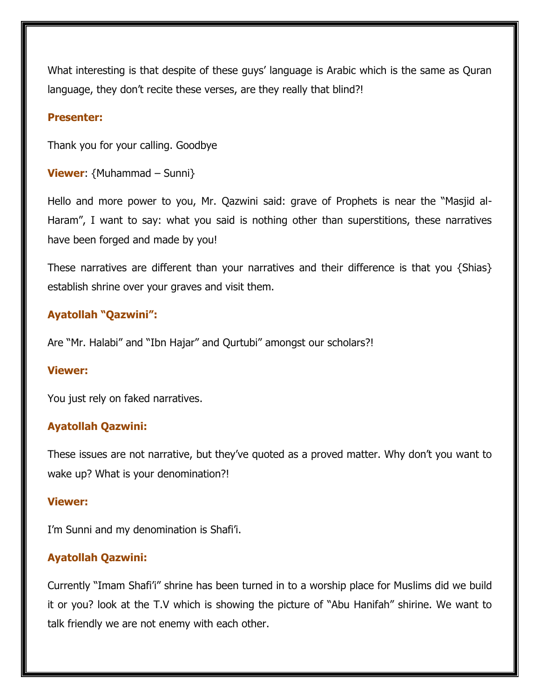What interesting is that despite of these guys' language is Arabic which is the same as Quran language, they don't recite these verses, are they really that blind?!

#### **Presenter:**

Thank you for your calling. Goodbye

**Viewer**: {Muhammad – Sunni}

Hello and more power to you, Mr. Qazwini said: grave of Prophets is near the "Masjid al-Haram", I want to say: what you said is nothing other than superstitions, these narratives have been forged and made by you!

These narratives are different than your narratives and their difference is that you {Shias} establish shrine over your graves and visit them.

#### **Ayatollah "Qazwini":**

Are "Mr. Halabi" and "Ibn Hajar" and Qurtubi" amongst our scholars?!

#### **Viewer:**

You just rely on faked narratives.

#### **Ayatollah Qazwini:**

These issues are not narrative, but they've quoted as a proved matter. Why don't you want to wake up? What is your denomination?!

#### **Viewer:**

I'm Sunni and my denomination is Shafi'i.

### **Ayatollah Qazwini:**

Currently "Imam Shafi'i" shrine has been turned in to a worship place for Muslims did we build it or you? look at the T.V which is showing the picture of "Abu Hanifah" shirine. We want to talk friendly we are not enemy with each other.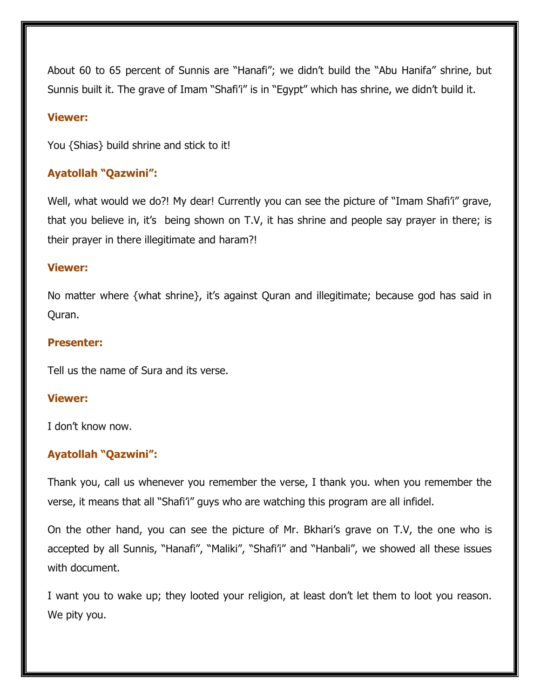About 60 to 65 percent of Sunnis are "Hanafi"; we didn't build the "Abu Hanifa" shrine, but Sunnis built it. The grave of Imam "Shafi'i" is in "Egypt" which has shrine, we didn't build it.

### **Viewer:**

You {Shias} build shrine and stick to it!

## **Ayatollah "Qazwini":**

Well, what would we do?! My dear! Currently you can see the picture of "Imam Shafi'i" grave, that you believe in, it's being shown on T.V, it has shrine and people say prayer in there; is their prayer in there illegitimate and haram?!

### **Viewer:**

No matter where {what shrine}, it's against Quran and illegitimate; because god has said in Quran.

### **Presenter:**

Tell us the name of Sura and its verse.

## **Viewer:**

I don't know now.

## **Ayatollah "Qazwini":**

Thank you, call us whenever you remember the verse, I thank you. when you remember the verse, it means that all "Shafi'i" guys who are watching this program are all infidel.

On the other hand, you can see the picture of Mr. Bkhari's grave on T.V, the one who is accepted by all Sunnis, "Hanafi", "Maliki", "Shafi'i" and "Hanbali", we showed all these issues with document.

I want you to wake up; they looted your religion, at least don't let them to loot you reason. We pity you.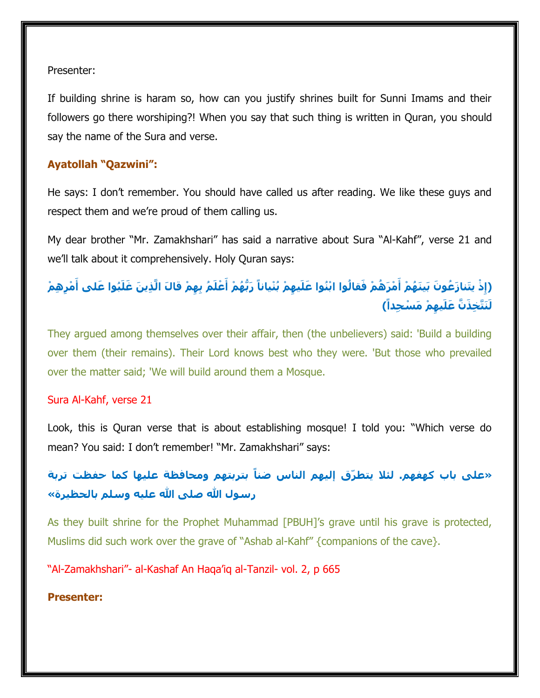Presenter:

If building shrine is haram so, how can you justify shrines built for Sunni Imams and their followers go there worshiping?! When you say that such thing is written in Quran, you should say the name of the Sura and verse.

### **Ayatollah "Qazwini":**

He says: I don't remember. You should have called us after reading. We like these guys and respect them and we're proud of them calling us.

My dear brother "Mr. Zamakhshari" has said a narrative about Sura "Al-Kahf", verse 21 and we'll talk about it comprehensively. Holy Quran says:

# (إِذْ يتَنازَعُونَ بَينَهُمْ أَمْرَهُمْ فَقالُوا ابْنُوا عَلَيهِمْ بُنْياناً رَبُّهُمْ أَعْلَمُ بِهِمْ قالَ الَّذِينَ غَلَبُوا عَلى أَمْرِهِمْ **ِه ْم َم ْسجِداً( َنَّت ِخ َذ َّن َعلَی لَ**

They argued among themselves over their affair, then (the unbelievers) said: 'Build a building over them (their remains). Their Lord knows best who they were. 'But those who prevailed over the matter said; 'We will build around them a Mosque.

#### Sura Al-Kahf, verse 21

Look, this is Quran verse that is about establishing mosque! I told you: "Which verse do mean? You said: I don't remember! "Mr. Zamakhshari" says:

# **»علی باب کهفهم. لئال یتطر ق إلیهم الناس ضناً بتربتهم ومحافظة علیها کما حفظت تربة رسول هللا صلی هللا علیه وسلم بالحظیرة«**

As they built shrine for the Prophet Muhammad [PBUH]'s grave until his grave is protected, Muslims did such work over the grave of "Ashab al-Kahf" {companions of the cave}.

"Al-Zamakhshari"- al-Kashaf An Haqa'iq al-Tanzil- vol. 2, p 665

#### **Presenter:**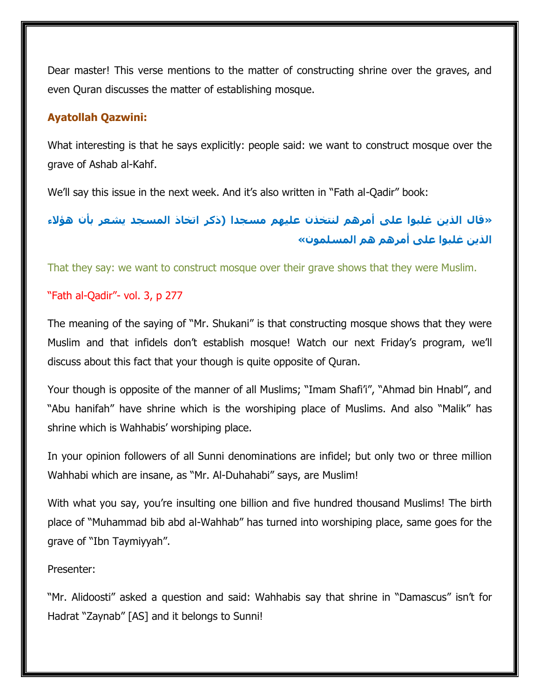Dear master! This verse mentions to the matter of constructing shrine over the graves, and even Quran discusses the matter of establishing mosque.

### **Ayatollah Qazwini:**

What interesting is that he says explicitly: people said: we want to construct mosque over the grave of Ashab al-Kahf.

We'll say this issue in the next week. And it's also written in "Fath al-Qadir" book:

**»قال الذین غلبوا علی أمرهم لنتخذن علیهم مسجدا )ذکر اتخاذ المسجد یشعر بأن هؤالء الذین غلبوا علی أمرهم هم المسلمون«**

That they say: we want to construct mosque over their grave shows that they were Muslim.

## "Fath al-Qadir"- vol. 3, p 277

The meaning of the saying of "Mr. Shukani" is that constructing mosque shows that they were Muslim and that infidels don't establish mosque! Watch our next Friday's program, we'll discuss about this fact that your though is quite opposite of Quran.

Your though is opposite of the manner of all Muslims; "Imam Shafi'i", "Ahmad bin Hnabl", and "Abu hanifah" have shrine which is the worshiping place of Muslims. And also "Malik" has shrine which is Wahhabis' worshiping place.

In your opinion followers of all Sunni denominations are infidel; but only two or three million Wahhabi which are insane, as "Mr. Al-Duhahabi" says, are Muslim!

With what you say, you're insulting one billion and five hundred thousand Muslims! The birth place of "Muhammad bib abd al-Wahhab" has turned into worshiping place, same goes for the grave of "Ibn Taymiyyah".

Presenter:

"Mr. Alidoosti" asked a question and said: Wahhabis say that shrine in "Damascus" isn't for Hadrat "Zaynab" [AS] and it belongs to Sunni!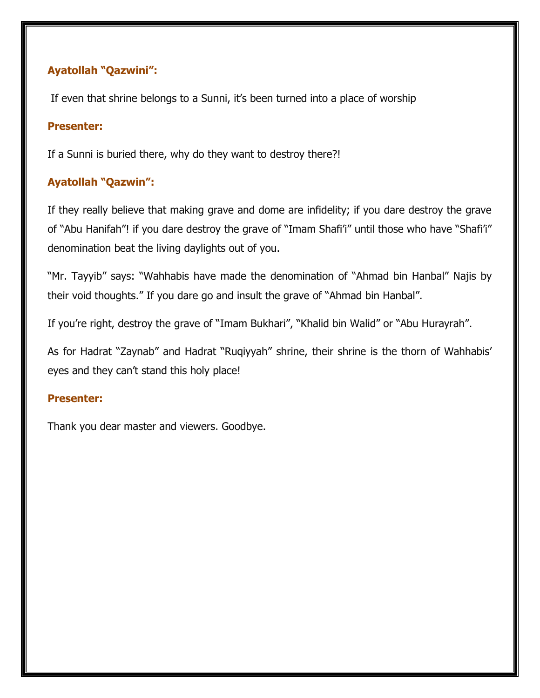## **Ayatollah "Qazwini":**

If even that shrine belongs to a Sunni, it's been turned into a place of worship

## **Presenter:**

If a Sunni is buried there, why do they want to destroy there?!

## **Ayatollah "Qazwin":**

If they really believe that making grave and dome are infidelity; if you dare destroy the grave of "Abu Hanifah"! if you dare destroy the grave of "Imam Shafi'i" until those who have "Shafi'i" denomination beat the living daylights out of you.

"Mr. Tayyib" says: "Wahhabis have made the denomination of "Ahmad bin Hanbal" Najis by their void thoughts." If you dare go and insult the grave of "Ahmad bin Hanbal".

If you're right, destroy the grave of "Imam Bukhari", "Khalid bin Walid" or "Abu Hurayrah".

As for Hadrat "Zaynab" and Hadrat "Ruqiyyah" shrine, their shrine is the thorn of Wahhabis' eyes and they can't stand this holy place!

## **Presenter:**

Thank you dear master and viewers. Goodbye.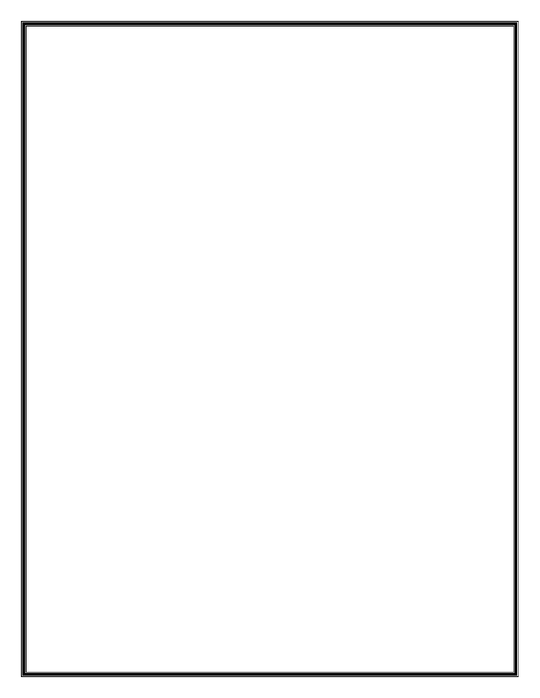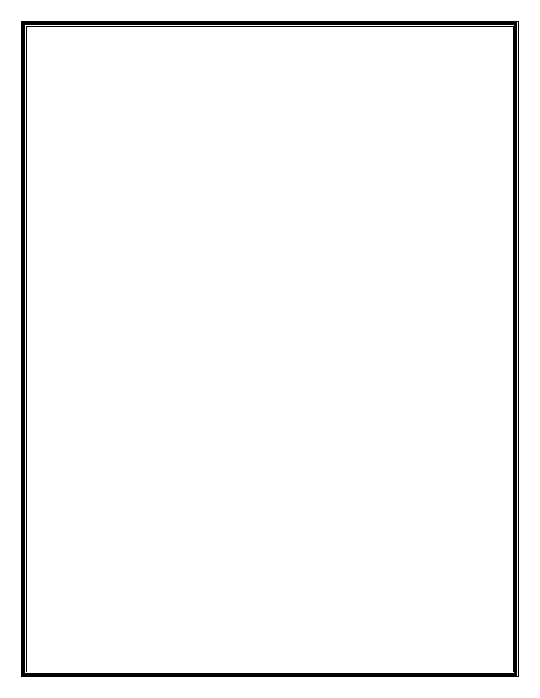